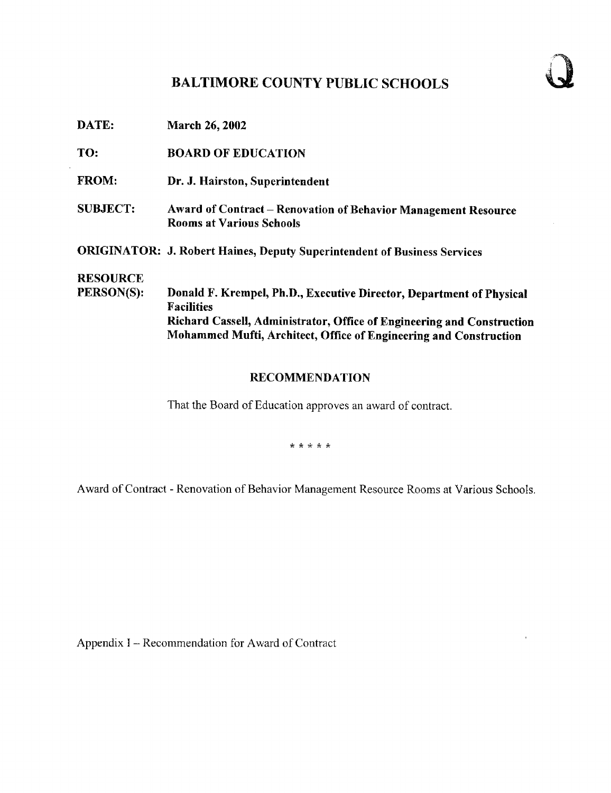# BALTIMORE COUNTY PUBLIC SCHOOLS

DATE: March 26, 2002 TO: BOARD OF EDUCATION FROM: Dr. J. Hairston, Superintendent SUBJECT: Award of Contract - Renovation of Behavior Management Resource Rooms at Various Schools ORIGINATOR: J. Robert Haines, Deputy Superintendent of Business Services **RESOURCE**<br>PERSON(S): Donald F. Krempel, Ph.D., Executive Director, Department of Physical **Facilities** Richard Cassell, Administrator, Office of Engineering and Construction Mohammed Mufti, Architect, Office of Engineering and Construction

## RECOMMENDATION

That the Board of Education approves an award of contract.

\* \* \* \* \*

Award of Contract - Renovation of Behavior Management Resource Rooms at Various Schools.

Appendix I – Recommendation for Award of Contract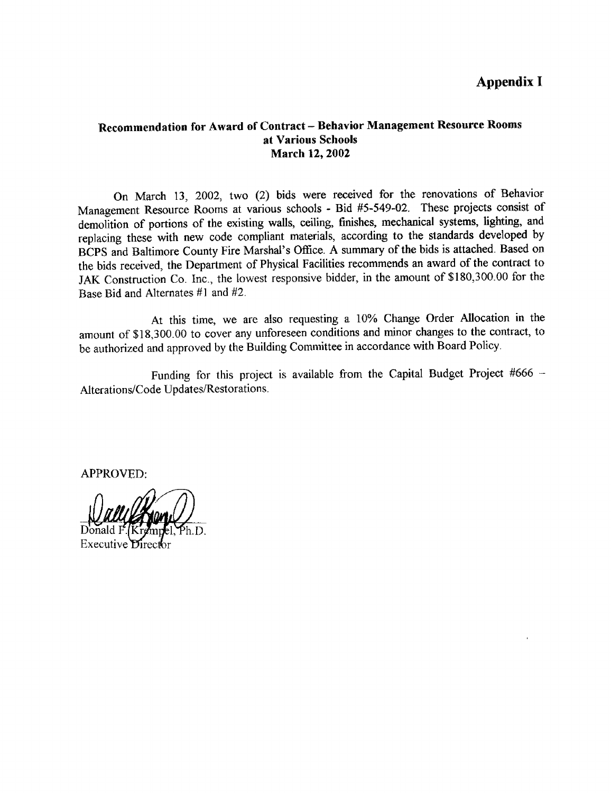# Appendix <sup>I</sup>

### Recommendation for Award of Contract - Behavior Management Resource Rooms at Various Schools March 12, 2002

On March 13, 2002, two (2) bids were received for the renovations of Behavior Management Resource Rooms at various schools - Bid #5-549-02 . These projects consist of demolition of portions of the existing walls, ceiling, finishes, mechanical systems, lighting, and replacing these with new code compliant materials, according to the standards developed by BCPS and Baltimore County Fire Marshal's Office. A summary of the bids is attached. Based on the bids received, the Department of Physical Facilities recommends an award of the contract to JAK Construction Co . Inc., the lowest responsive bidder, in the amount of \$180,300.00 for the Base Bid and Alternates #1 and #2.

At this time, we are also requesting <sup>a</sup> 10% Change Order Allocation in the amount of \$18,300 .00 to cover any unforeseen conditions and minor changes to the contract, to be authorized and approved by the Building Committee in accordance with Board Policy.

Funding for this project is available from the Capital Budget Project #666 -Alterations/Code Updates/Restorations.

APPROVED:

Executive D